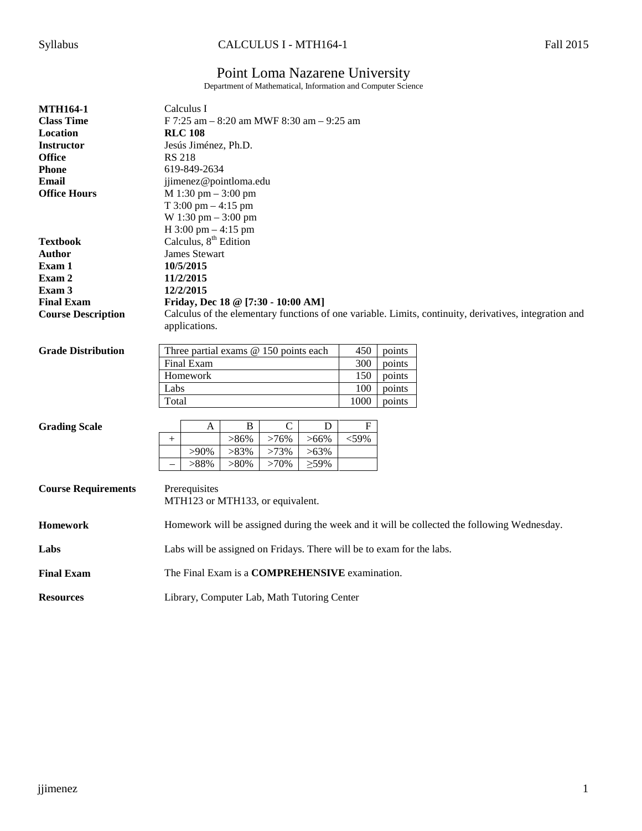# Syllabus CALCULUS I - MTH164-1 Fall 2015

# Point Loma Nazarene University

Department of Mathematical, Information and Computer Science

| <b>MTH164-1</b>            | Calculus I                                                                                             |
|----------------------------|--------------------------------------------------------------------------------------------------------|
| <b>Class Time</b>          | F 7:25 am - 8:20 am MWF 8:30 am - 9:25 am                                                              |
| Location                   | <b>RLC 108</b>                                                                                         |
| <b>Instructor</b>          | Jesús Jiménez, Ph.D.                                                                                   |
| <b>Office</b>              | <b>RS 218</b>                                                                                          |
| <b>Phone</b>               | 619-849-2634                                                                                           |
| <b>Email</b>               | jjimenez@pointloma.edu                                                                                 |
| <b>Office Hours</b>        | M 1:30 pm - 3:00 pm                                                                                    |
|                            | T $3:00 \text{ pm} - 4:15 \text{ pm}$                                                                  |
|                            | W 1:30 pm - 3:00 pm                                                                                    |
|                            | H $3:00 \text{ pm} - 4:15 \text{ pm}$                                                                  |
| <b>Textbook</b>            | Calculus, 8 <sup>th</sup> Edition                                                                      |
| Author                     | <b>James Stewart</b>                                                                                   |
| Exam 1                     | 10/5/2015                                                                                              |
| Exam 2                     | 11/2/2015                                                                                              |
| Exam 3                     | 12/2/2015                                                                                              |
| <b>Final Exam</b>          | Friday, Dec 18 @ [7:30 - 10:00 AM]                                                                     |
| <b>Course Description</b>  | Calculus of the elementary functions of one variable. Limits, continuity, derivatives, integration and |
|                            | applications.                                                                                          |
|                            |                                                                                                        |
| <b>Grade Distribution</b>  | Three partial exams @ 150 points each<br>450<br>points                                                 |
|                            | Final Exam<br>300<br>points                                                                            |
|                            | Homework<br>150<br>points                                                                              |
|                            | Labs<br>100<br>points                                                                                  |
|                            | 1000<br>Total<br>points                                                                                |
|                            |                                                                                                        |
| <b>Grading Scale</b>       | ${\bf F}$<br>$\mathbf B$<br>$\mathcal{C}$<br>D<br>A                                                    |
|                            | $>86\%$<br>>76%<br>$>66\%$<br>$<$ 59%<br>$^{+}$                                                        |
|                            | $>83\%$<br>$>90\%$<br>>73%<br>$>63\%$                                                                  |
|                            | $>88\%$<br>$\geq 59\%$                                                                                 |
|                            | $>80\%$<br>$>70\%$<br>$\overline{\phantom{0}}$                                                         |
|                            |                                                                                                        |
| <b>Course Requirements</b> | Prerequisites                                                                                          |
|                            | MTH123 or MTH133, or equivalent.                                                                       |
| <b>Homework</b>            |                                                                                                        |
|                            | Homework will be assigned during the week and it will be collected the following Wednesday.            |
| Labs                       | Labs will be assigned on Fridays. There will be to exam for the labs.                                  |
|                            |                                                                                                        |
| <b>Final Exam</b>          | The Final Exam is a <b>COMPREHENSIVE</b> examination.                                                  |
|                            |                                                                                                        |
| <b>Resources</b>           | Library, Computer Lab, Math Tutoring Center                                                            |
|                            |                                                                                                        |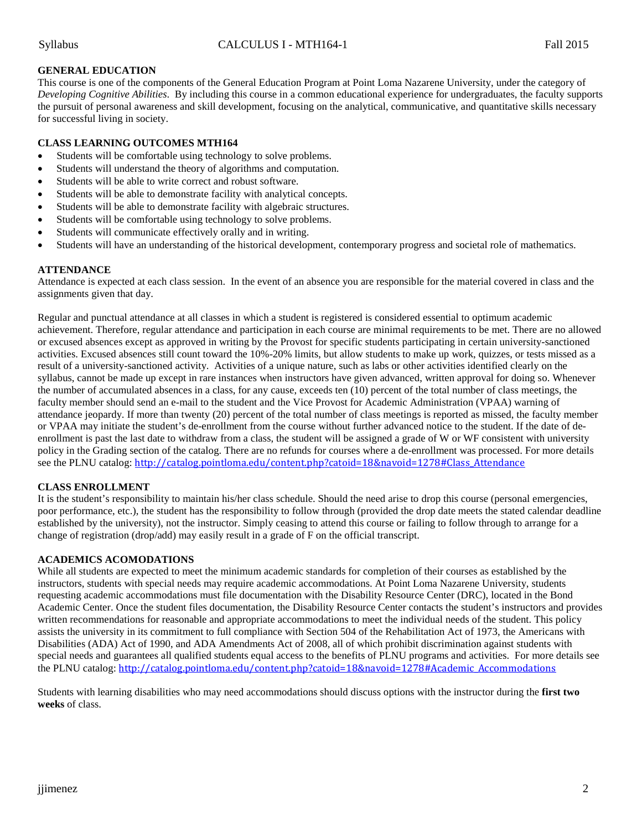# **GENERAL EDUCATION**

This course is one of the components of the General Education Program at Point Loma Nazarene University, under the category of *Developing Cognitive Abilities*. By including this course in a common educational experience for undergraduates, the faculty supports the pursuit of personal awareness and skill development, focusing on the analytical, communicative, and quantitative skills necessary for successful living in society.

# **CLASS LEARNING OUTCOMES MTH164**

- Students will be comfortable using technology to solve problems.
- Students will understand the theory of algorithms and computation.
- Students will be able to write correct and robust software.
- Students will be able to demonstrate facility with analytical concepts.
- Students will be able to demonstrate facility with algebraic structures.
- Students will be comfortable using technology to solve problems.
- Students will communicate effectively orally and in writing.
- Students will have an understanding of the historical development, contemporary progress and societal role of mathematics.

# **ATTENDANCE**

Attendance is expected at each class session. In the event of an absence you are responsible for the material covered in class and the assignments given that day.

Regular and punctual attendance at all classes in which a student is registered is considered essential to optimum academic achievement. Therefore, regular attendance and participation in each course are minimal requirements to be met. There are no allowed or excused absences except as approved in writing by the Provost for specific students participating in certain university-sanctioned activities. Excused absences still count toward the 10%-20% limits, but allow students to make up work, quizzes, or tests missed as a result of a university-sanctioned activity. Activities of a unique nature, such as labs or other activities identified clearly on the syllabus, cannot be made up except in rare instances when instructors have given advanced, written approval for doing so. Whenever the number of accumulated absences in a class, for any cause, exceeds ten (10) percent of the total number of class meetings, the faculty member should send an e-mail to the student and the Vice Provost for Academic Administration (VPAA) warning of attendance jeopardy. If more than twenty (20) percent of the total number of class meetings is reported as missed, the faculty member or VPAA may initiate the student's de-enrollment from the course without further advanced notice to the student. If the date of deenrollment is past the last date to withdraw from a class, the student will be assigned a grade of W or WF consistent with university policy in the Grading section of the catalog. There are no refunds for courses where a de-enrollment was processed. For more details see the PLNU catalog: [http://catalog.pointloma.edu/content.php?catoid=18&navoid=1278#Class\\_Attendance](http://catalog.pointloma.edu/content.php?catoid=18&navoid=1278#Class_Attendance)

### **CLASS ENROLLMENT**

It is the student's responsibility to maintain his/her class schedule. Should the need arise to drop this course (personal emergencies, poor performance, etc.), the student has the responsibility to follow through (provided the drop date meets the stated calendar deadline established by the university), not the instructor. Simply ceasing to attend this course or failing to follow through to arrange for a change of registration (drop/add) may easily result in a grade of F on the official transcript.

### **ACADEMICS ACOMODATIONS**

While all students are expected to meet the minimum academic standards for completion of their courses as established by the instructors, students with special needs may require academic accommodations. At Point Loma Nazarene University, students requesting academic accommodations must file documentation with the Disability Resource Center (DRC), located in the Bond Academic Center. Once the student files documentation, the Disability Resource Center contacts the student's instructors and provides written recommendations for reasonable and appropriate accommodations to meet the individual needs of the student. This policy assists the university in its commitment to full compliance with Section 504 of the Rehabilitation Act of 1973, the Americans with Disabilities (ADA) Act of 1990, and ADA Amendments Act of 2008, all of which prohibit discrimination against students with special needs and guarantees all qualified students equal access to the benefits of PLNU programs and activities. For more details see the PLNU catalog: [http://catalog.pointloma.edu/content.php?catoid=18&navoid=1278#Academic\\_Accommodations](http://catalog.pointloma.edu/content.php?catoid=18&navoid=1278#Academic_Accommodations)

Students with learning disabilities who may need accommodations should discuss options with the instructor during the **first two weeks** of class.